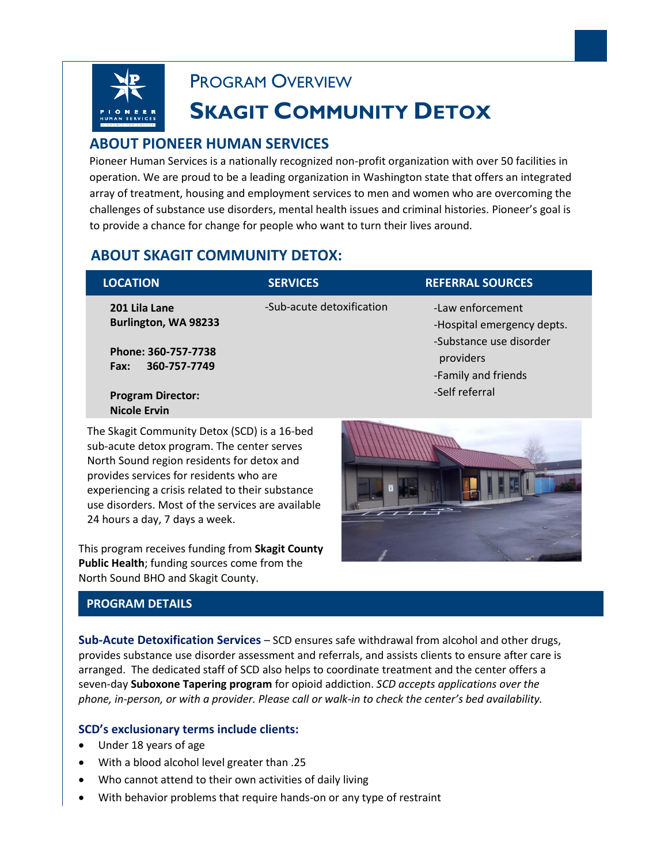

PROGRAM OVERVIEW

# **SKAGIT COMMUNITY DETOX**

# **ABOUT PIONEER HUMAN SERVICES**

 Pioneer Human Services is a nationally recognized non-profit organization with over 50 facilities in operation. We are proud to be a leading organization in Washington state that offers an integrated array of treatment, housing and employment services to men and women who are overcoming the challenges of substance use disorders, mental health issues and criminal histories. Pioneer's goal is to provide a chance for change for people who want to turn their lives around.

# **ABOUT SKAGIT COMMUNITY DETOX:**

| <b>LOCATION</b>                                 | <b>SERVICES</b>           | <b>REFERRAL SOURCES</b>                                                                                       |
|-------------------------------------------------|---------------------------|---------------------------------------------------------------------------------------------------------------|
| 201 Lila Lane<br>Burlington, WA 98233           | -Sub-acute detoxification | -Law enforcement<br>-Hospital emergency depts.<br>-Substance use disorder<br>providers<br>-Family and friends |
| Phone: 360-757-7738<br>360-757-7749<br>Fax:     |                           |                                                                                                               |
| <b>Program Director:</b><br><b>Nicole Ervin</b> |                           | -Self referral                                                                                                |

The Skagit Community Detox (SCD) is a 16-bed sub-acute detox program. The center serves North Sound region residents for detox and provides services for residents who are experiencing a crisis related to their substance use disorders. Most of the services are available 24 hours a day, 7 days a week.

This program receives funding from **Skagit County Public Health**; funding sources come from the North Sound BHO and Skagit County.

## **PROGRAM DETAILS**

**Sub-Acute Detoxification Services** – SCD ensures safe withdrawal from alcohol and other drugs, provides substance use disorder assessment and referrals, and assists clients to ensure after care is arranged. The dedicated staff of SCD also helps to coordinate treatment and the center offers a seven-day **Suboxone Tapering program** for opioid addiction. *SCD accepts applications over the phone, in-person, or with a provider. Please call or walk-in to check the center's bed availability.* 

#### **SCD's exclusionary terms include clients:**

- Under 18 years of age
- With a blood alcohol level greater than .25
- Who cannot attend to their own activities of daily living
- With behavior problems that require hands-on or any type of restraint